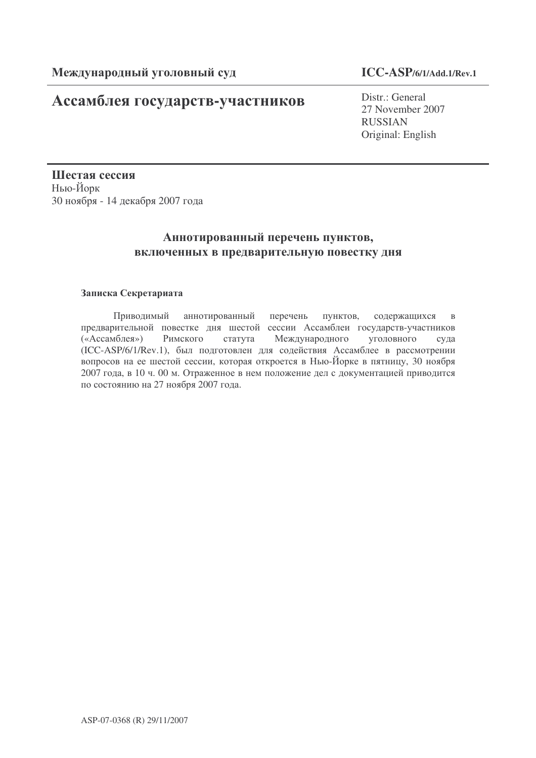# Ассамблея государств-участников

Distr.: General 27 November 2007 RUSSIAN Original: English

Шестая сессия Нью-Йорк 30 ноября - 14 декабря 2007 года

# Аннотированный перечень пунктов, включенных в предварительную повестку дня

# Записка Секретариата

Приводимый аннотированный перечень пунктов, содержащихся в предварительной повестке дня шестой сессии Ассамблеи государств-участников («Ассамблея») Римского статута Международного уголовного суда (ICC-ASP/6/1/Rev.1), был подготовлен для содействия Ассамблее в рассмотрении вопросов на ее шестой сессии, которая откроется в Нью-Йорке в пятницу, 30 ноября 2007 года, в 10 ч. 00 м. Отраженное в нем положение дел с документацией приводится по состоянию на 27 ноября 2007 года.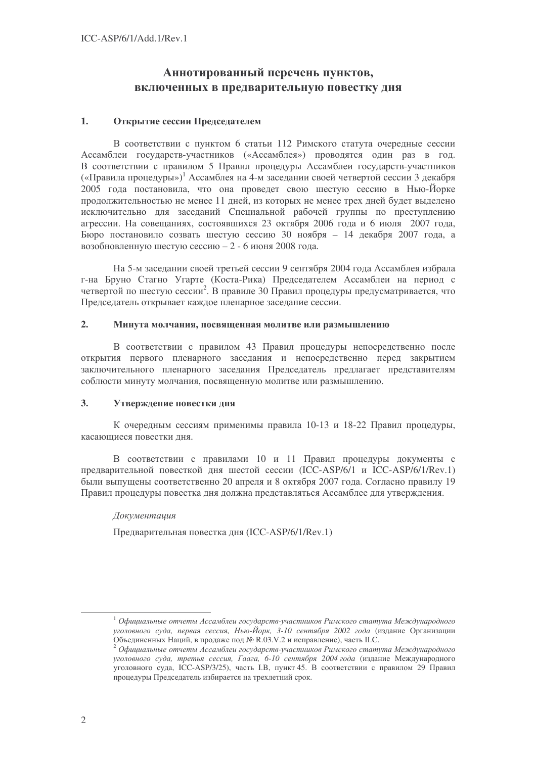# Аннотированный перечень пунктов, включенных в предварительную повестку дня

#### $1.$ Открытие сессии Председателем

В соответствии с пунктом 6 статьи 112 Римского статута очередные сессии Ассамблеи государств-участников («Ассамблея») проводятся один раз в год. В соответствии с правилом 5 Правил процедуры Ассамблеи государств-участников («Правила процедуры»)<sup>1</sup> Ассамблея на 4-м заседании своей четвертой сессии 3 декабря 2005 года постановила, что она проведет свою шестую сессию в Нью-Йорке продолжительностью не менее 11 дней, из которых не менее трех дней будет выделено исключительно для заседаний Специальной рабочей группы по преступлению агрессии. На совещаниях, состоявшихся 23 октября 2006 года и 6 июля 2007 года, Бюро постановило созвать шестую сессию 30 ноября - 14 лекабря 2007 года, а возобновленную шестую сессию - 2 - 6 июня 2008 года.

На 5-м заседании своей третьей сессии 9 сентября 2004 года Ассамблея избрала г-на Бруно Стагно Угарте (Коста-Рика) Председателем Ассамблеи на период с четвертой по шестую сессии<sup>2</sup>. В правиле 30 Правил процедуры предусматривается, что Председатель открывает каждое пленарное заседание сессии.

#### $2.$ Минута молчания, посвященная молитве или размышлению

В соответствии с правилом 43 Правил процедуры непосредственно после открытия первого пленарного заседания и непосредственно перед закрытием заключительного пленарного заседания Председатель предлагает представителям соблюсти минуту молчания, посвященную молитве или размышлению.

#### $3<sub>1</sub>$ Утверждение повестки дня

К очередным сессиям применимы правила 10-13 и 18-22 Правил процедуры, касающиеся повестки дня.

В соответствии с правилами 10 и 11 Правил процедуры документы с предварительной повесткой дня шестой сессии (ICC-ASP/6/1 и ICC-ASP/6/1/Rev.1) были выпущены соответственно 20 апреля и 8 октября 2007 года. Согласно правилу 19 Правил процедуры повестка дня должна представляться Ассамблее для утверждения.

## Документашия

Предварительная повестка дня (ICC-ASP/6/1/Rev.1)

<sup>&</sup>lt;sup>1</sup> Официальные отчеты Ассамблеи государств-участников Римского статута Международного уголовного суда, первая сессия, Нью-Йорк, 3-10 сентября 2002 года (издание Организации .<br>Объединенных Наций, в продаже под № R.03.V.2 и исправление), часть II.C.

 $^{2}$  Официальные отчеты Ассамблеи государств-участников Римского статута Международного уголовного суда, третья сессия, Гаага, 6-10 сентября 2004 года (издание Международного уголовного суда, ICC-ASP/3/25), часть I.B, пункт 45. В соответствии с правилом 29 Правил процедуры Председатель избирается на трехлетний срок.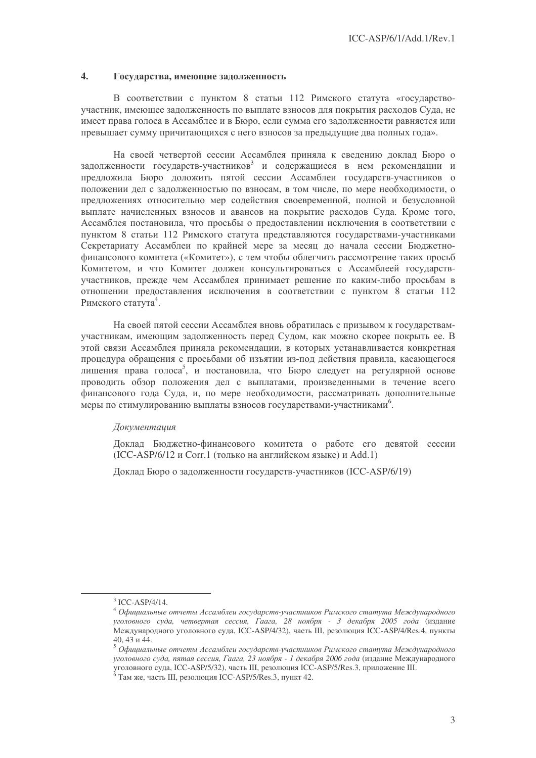#### $\overline{4}$ . Государства, имеющие задолженность

В соответствии с пунктом 8 статьи 112 Римского статута «государствоучастник, имеющее задолженность по выплате взносов для покрытия расходов Суда, не имеет права голоса в Ассамблее и в Бюро, если сумма его задолженности равняется или превышает сумму причитающихся с него взносов за предыдущие два полных года».

На своей четвертой сессии Ассамблея приняла к сведению доклад Бюро о задолженности государств-участников<sup>3</sup> и содержащиеся в нем рекомендации и предложила Бюро доложить пятой сессии Ассамблеи государств-участников о положении дел с задолженностью по взносам, в том числе, по мере необходимости, о предложениях относительно мер содействия своевременной, полной и безусловной выплате начисленных взносов и авансов на покрытие расходов Суда. Кроме того, Ассамблея постановила, что просьбы о предоставлении исключения в соответствии с пунктом 8 статьи 112 Римского статута представляются государствами-участниками Секретариату Ассамблеи по крайней мере за месяц до начала сессии Бюджетнофинансового комитета («Комитет»), с тем чтобы облегчить рассмотрение таких просьб Комитетом, и что Комитет должен консультироваться с Ассамблеей государствучастников, прежде чем Ассамблея принимает решение по каким-либо просьбам в отношении прелоставления исключения в соответствии с пунктом 8 статьи 112 Римского статута<sup>4</sup>.

На своей пятой сессии Ассамблея вновь обратилась с призывом к государствамучастникам, имеющим задолженность перед Судом, как можно скорее покрыть ее. В этой связи Ассамблея приняла рекомендации, в которых устанавливается конкретная процедура обращения с просьбами об изъятии из-под действия правила, касающегося лишения права голоса<sup>5</sup>, и постановила, что Бюро следует на регулярной основе проводить обзор положения дел с выплатами, произведенными в течение всего финансового года Суда, и, по мере необходимости, рассматривать дополнительные меры по стимулированию выплаты взносов государствами-участниками<sup>6</sup>.

## Документашия

Доклад Бюджетно-финансового комитета о работе его девятой сессии (ICC-ASP/6/12 и Corr.1 (только на английском языке) и Add.1)

Доклад Бюро о задолженности государств-участников (ICC-ASP/6/19)

 $^3$  ICC-ASP/4/14.

чести ......<br>• Официальные отчеты Ассамблеи государств-участников Римского статута Международного уголовного суда, четвертая сессия, Гаага, 28 ноября - 3 декабря 2005 года (издание Международного уголовного суда, ICC-ASP/4/32), часть III, резолюция ICC-ASP/4/Res.4, пункты  $40.43$  и 44.

уголовного суда, пятая сессия, Гаага, 23 ноября - 1 декабря 2006 года (издание Международного усоловного суда, ICC-ASP/5/32), часть III, резолюция ICC-ASP/5/Res.3, приложение III.<br><sup>6</sup> Там же, часть III, резолюция ICC-ASP/5/Res.3, пункт 42.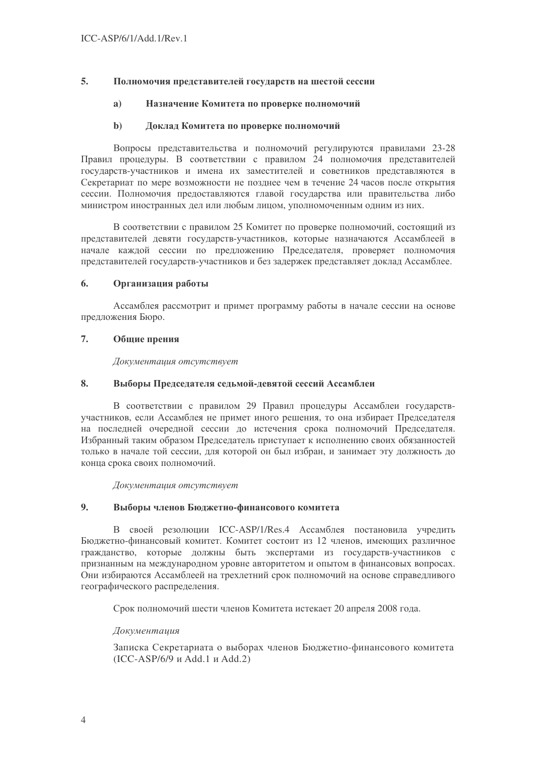#### 5. Полномочия представителей государств на шестой сессии

#### $a)$ Назначение Комитета по проверке полномочий

#### $\mathbf{h}$ Локлад Комитета по проверке полномочий

Вопросы представительства и полномочий регулируются правилами 23-28 Правил процедуры. В соответствии с правилом 24 полномочия представителей государств-участников и имена их заместителей и советников представляются в Секретариат по мере возможности не позднее чем в течение 24 часов после открытия сессии. Полномочия предоставляются главой государства или правительства либо министром иностранных дел или любым лицом, уполномоченным одним из них.

В соответствии с правилом 25 Комитет по проверке полномочий, состоящий из представителей девяти государств-участников, которые назначаются Ассамблеей в начале каждой сессии по предложению Председателя, проверяет полномочия представителей государств-участников и без задержек представляет доклад Ассамблее.

#### 6. Организация работы

Ассамблея рассмотрит и примет программу работы в начале сессии на основе предложения Бюро.

#### $7.$ Общие прения

Документация отсутствует

#### 8. Выборы Председателя седьмой-девятой сессий Ассамблеи

В соответствии с правилом 29 Правил процедуры Ассамблеи государствучастников, если Ассамблея не примет иного решения, то она избирает Председателя на последней очередной сессии до истечения срока полномочий Председателя. Избранный таким образом Председатель приступает к исполнению своих обязанностей только в начале той сессии, для которой он был избран, и занимает эту должность до конца срока своих полномочий.

Документация отсутствует

#### $9<sub>1</sub>$ Выборы членов Бюджетно-финансового комитета

В своей резолюции ICC-ASP/1/Res.4 Ассамблея постановила учредить Бюджетно-финансовый комитет. Комитет состоит из 12 членов, имеющих различное гражданство, которые должны быть экспертами из государств-участников с признанным на международном уровне авторитетом и опытом в финансовых вопросах. Они избираются Ассамблеей на трехлетний срок полномочий на основе справедливого географического распределения.

Срок полномочий шести членов Комитета истекает 20 апреля 2008 года.

## **Локументаиия**

Записка Секретариата о выборах членов Бюджетно-финансового комитета  $(ICC-ASP/6/9 \text{ u} Add.1 \text{ u} Add.2)$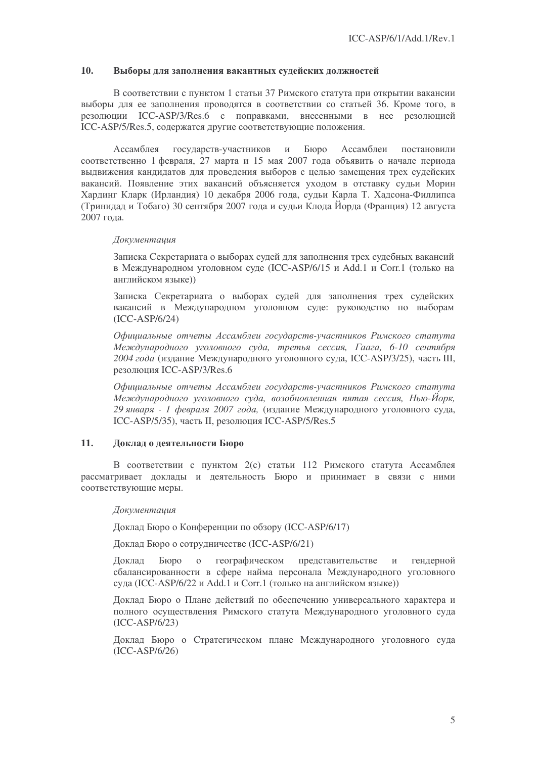### 10. Выборы для заполнения вакантных судейских должностей

В соответствии с пунктом 1 статьи 37 Римского статута при открытии вакансии выборы для ее заполнения проводятся в соответствии со статьей 36. Кроме того, в резолюции ICC-ASP/3/Res.6 с поправками, внесенными в нее резолюцией ICC-ASP/5/Res.5, содержатся другие соответствующие положения.

Ассамблея государств-участников и Бюро Ассамблеи постановили соответственно 1 февраля, 27 марта и 15 мая 2007 года объявить о начале периода выдвижения кандидатов для проведения выборов с целью замещения трех судейских вакансий. Появление этих вакансий объясняется уходом в отставку судьи Морин Хардинг Кларк (Ирландия) 10 декабря 2006 года, судьи Карла Т. Хадсона-Филлипса (Тринидад и Тобаго) 30 сентября 2007 года и судьи Клода Йорда (Франция) 12 августа 2007 гола.

### Документация

Записка Секретариата о выборах судей для заполнения трех судебных вакансий в Международном уголовном суде (ICC-ASP/6/15 и Add.1 и Согг.1 (только на английском языке))

Записка Секретариата о выборах судей для заполнения трех судейских вакансий в Международном уголовном суде: руководство по выборам (ICC-ASP/6/24)

Официальные отчеты Ассамблеи государств-участников Римского статута Международного уголовного суда, третья сессия, Гаага, 6-10 сентября 2004 года (издание Международного уголовного суда, ICC-ASP/3/25), часть III, резолюция ICC-ASP/3/Res.6

Официальные отчеты Ассамблеи государств-участников Римского статута Международного уголовного суда, возобновленная пятая сессия, Нью-Йорк, 29 января - 1 февраля 2007 года, (издание Международного уголовного суда, ICC-ASP/5/35), часть II, резолюция ICC-ASP/5/Res.5

# 11. Доклад о деятельности Бюро

В соответствии с пунктом 2(с) статьи 112 Римского статута Ассамблея рассматривает доклады и деятельность Бюро и принимает в связи с ними соответствующие меры.

Документация

Доклад Бюро о Конференции по обзору (ICC-ASP/6/17)

Доклад Бюро о сотрудничестве (ICC-ASP/6/21)

Доклад Бюро о географическом представительстве и гендерной сбалансированности в сфере найма персонала Международного уголовного суда (ICC-ASP/6/22 и Add.1 и Corr.1 (только на английском языке))

Доклад Бюро о Плане действий по обеспечению универсального характера и полного осуществления Римского статута Международного уголовного суда (ICC-ASP/6/23)

Локлал Бюро о Стратегическом плане Международного уголовного суда (ICC-ASP/6/26)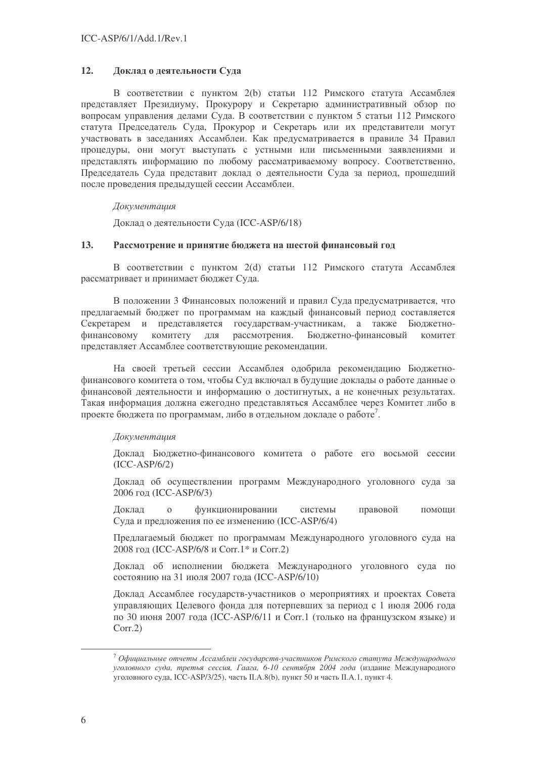#### 12. Доклад о деятельности Суда

В соответствии с пунктом 2(b) статьи 112 Римского статута Ассамблея представляет Президиуму. Прокурору и Секретарю административный обзор по вопросам управления делами Суда. В соответствии с пунктом 5 статьи 112 Римского статута Председатель Суда, Прокурор и Секретарь или их представители могут участвовать в заседаниях Ассамблеи. Как предусматривается в правиле 34 Правил процедуры, они могут выступать с устными или письменными заявлениями и представлять информацию по любому рассматриваемому вопросу. Соответственно, Председатель Суда представит доклад о деятельности Суда за период, прошедший после проведения предыдущей сессии Ассамблеи.

## Документашия

Доклад о деятельности Суда (ICC-ASP/6/18)

#### $13.$ Рассмотрение и принятие бюджета на шестой финансовый год

В соответствии с пунктом 2(d) статьи 112 Римского статута Ассамблея рассматривает и принимает бюджет Суда.

В положении 3 Финансовых положений и правил Суда предусматривается, что предлагаемый бюджет по программам на каждый финансовый период составляется Секретарем и представляется государствам-участникам, а также Бюджетнофинансовому комитету **RILL** рассмотрения. Бюджетно-финансовый комитет представляет Ассамблее соответствующие рекомендации.

На своей третьей сессии Ассамблея одобрила рекомендацию Бюджетнофинансового комитета о том, чтобы Суд включал в будущие доклады о работе данные о финансовой деятельности и информацию о достигнутых, а не конечных результатах. Такая информация должна ежегодно представляться Ассамблее через Комитет либо в проекте бюджета по программам, либо в отдельном докладе о работе<sup>7</sup>.

## Документация

Доклад Бюджетно-финансового комитета о работе его восьмой сессии  $(ICC-ASP/6/2)$ 

Доклад об осуществлении программ Международного уголовного суда за 2006 год (ICC-ASP/6/3)

Доклад функционировании правовой  $\mathbf{O}$ системы помоши Суда и предложения по ее изменению (ICC-ASP/6/4)

Предлагаемый бюджет по программам Международного уголовного суда на 2008 год (ICC-ASP/6/8 и Corr.1\* и Corr.2)

Доклад об исполнении бюджета Международного уголовного суда по состоянию на 31 июля 2007 года (ICC-ASP/6/10)

Доклад Ассамблее государств-участников о мероприятиях и проектах Совета управляющих Целевого фонда для потерпевших за период с 1 июля 2006 года по 30 июня 2007 года (ICC-ASP/6/11 и Corr.1 (только на французском языке) и  $Corr.2$ 

 $\frac{7}{7}$ Официальные отчеты Ассамблеи государств-участников Римского статута Международного уголовного суда, третья сессия, Гаага, 6-10 сентября 2004 года (излание Международного уголовного суда, ICC-ASP/3/25), часть II.A.8(b), пункт 50 и часть II.A.1, пункт 4.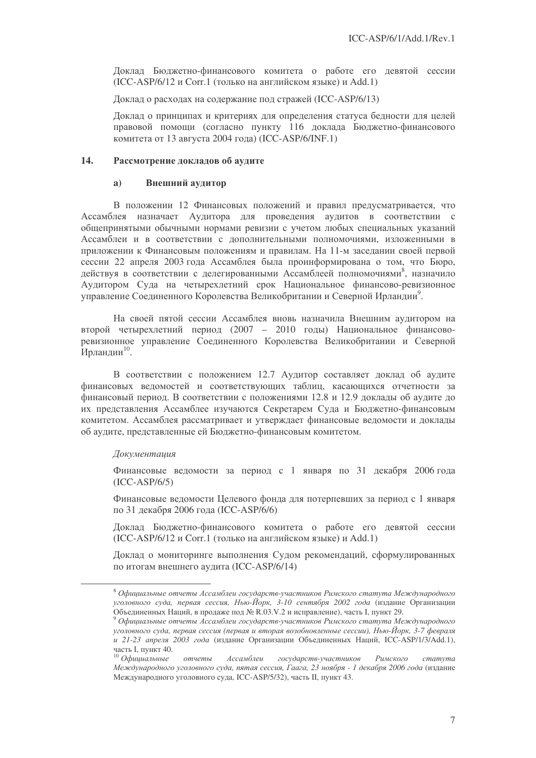Доклад Бюджетно-финансового комитета о работе его девятой сессии (ICC-ASP/6/12 и Согг.1 (только на английском языке) и Add.1)

Локлад о расходах на содержание под стражей (ICC-ASP/6/13)

Доклад о принципах и критериях для определения статуса бедности для целей правовой помощи (согласно пункту 116 доклада Бюджетно-финансового комитета от 13 августа 2004 года) (ICC-ASP/6/INF.1)

### 14. Рассмотрение докладов об аудите

### а) Внешний аудитор

В положении 12 Финансовых положений и правил предусматривается, что Ассамблея назначает Аудитора для проведения аудитов в соответствии с общепринятыми обычными нормами ревизии с учетом любых специальных указаний Ассамблеи и в соответствии с дополнительными полномочиями, изложенными в приложении к Финансовым положениям и правилам. На 11-м заседании своей первой сессии 22 апреля 2003 года Ассамблея была проинформирована о том, что Бюро, действуя в соответствии с делегированными Ассамблеей полномочиями<sup>8</sup>, назначило Аудитором Суда на четырехлетний срок Национальное финансово-ревизионное управление Соединенного Королевства Великобритании и Северной Ирландии<sup>9</sup>.

На своей пятой сессии Ассамблея вновь назначила Внешним аудитором на второй четырехлетний период (2007 - 2010 годы) Национальное финансоворевизионное управление Соединенного Королевства Великобритании и Северной Ирландии<sup>10</sup>.

В соответствии с положением 12.7 Аудитор составляет доклад об аудите финансовых ведомостей и соответствующих таблиц, касающихся отчетности за финансовый период. В соответствии с положениями 12.8 и 12.9 доклады об аудите до их представления Ассамблее изучаются Секретарем Суда и Бюджетно-финансовым комитетом. Ассамблея рассматривает и утверждает финансовые ведомости и доклады об аудите, представленные ей Бюджетно-финансовым комитетом.

### Документация

Финансовые ведомости за период с 1 января по 31 декабря 2006 года (ICC-ASP/6/5)

Финансовые ведомости Целевого фонда для потерпевших за период с 1 января по 31 декабря 2006 года (ICC-ASP/6/6)

Доклад Бюджетно-финансового комитета о работе его девятой сессии (ICC-ASP/6/12 и Согг.1 (только на английском языке) и Add.1)

Доклад о мониторинге выполнения Судом рекомендаций, сформулированных по итогам внешнего аудита (ICC-ASP/6/14)

<sup>&</sup>lt;sup>8</sup> Официальные отчеты Ассамблеи государств-участников Римского статута Международного уголовного суда, первая сессия, Нью-Йорк, 3-10 сентября 2002 года (издание Организации Объединенных Наций, в продаже под № R.03.V.2 и исправление), часть I, пункт 29.

<sup>&</sup>lt;sup>9</sup> Официальные отчеты Ассамблеи государств-участников Римского статута Международного уголовного суда, первая сессия (первая и вторая возобновленные сессии), Нью-Йорк, 3-7 февраля и 21-23 апреля 2003 года (издание Организации Объединенных Наций, ICC-ASP/1/3/Add.1), часть I, пункт 40.

 $^{10}$  Официальные о отчеты Ассамблеи государств-участников в Римского  $c$ mamyma Международного уголовного суда, пятая сессия, Гаага, 23 ноября - 1 декабря 2006 года (издание Международного уголовного суда, ICC-ASP/5/32), часть II, пункт 43.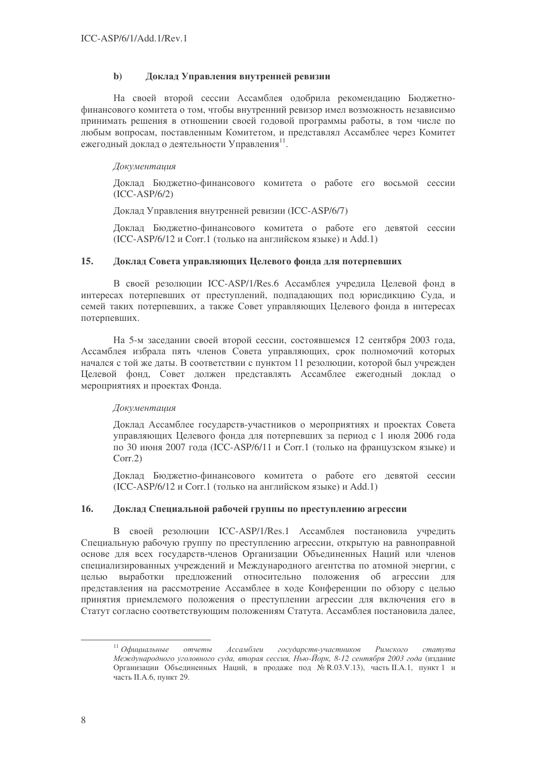#### Доклад Управления внутренней ревизии  $\mathbf{b}$

На своей второй сессии Ассамблея одобрила рекомендацию Бюджетнофинансового комитета о том, чтобы внутренний ревизор имел возможность независимо принимать решения в отношении своей годовой программы работы, в том числе по любым вопросам, поставленным Комитетом, и представлял Ассамблее через Комитет ежегодный доклад о деятельности Управления<sup>11</sup>.

## Документашия

Доклад Бюджетно-финансового комитета о работе его восьмой сессии  $(ICC-ASP/6/2)$ 

Локлад Управления внутренней ревизии (ICC-ASP/6/7)

Доклад Бюджетно-финансового комитета о работе его девятой сессии (ICC-ASP/6/12 и Согг.1 (только на английском языке) и Add.1)

#### $15.$ Доклад Совета управляющих Целевого фонда для потерпевших

В своей резолюции ICC-ASP/1/Res.6 Ассамблея учредила Целевой фонд в интересах потерпевших от преступлений, подпадающих под юрисдикцию Суда, и семей таких потерпевших, а также Совет управляющих Целевого фонда в интересах потерпевших.

На 5-м заседании своей второй сессии, состоявшемся 12 сентября 2003 года, Ассамблея избрала пять членов Совета управляющих, срок полномочий которых начался с той же даты. В соответствии с пунктом 11 резолюции, которой был учрежден Целевой фонд, Совет должен представлять Ассамблее ежегодный доклад о мероприятиях и проектах Фонда.

# Документация

Доклад Ассамблее государств-участников о мероприятиях и проектах Совета управляющих Целевого фонда для потерпевших за период с 1 июля 2006 года по 30 июня 2007 года (ICC-ASP/6/11 и Corr.1 (только на французском языке) и  $Corr.2$ 

Доклад Бюджетно-финансового комитета о работе его девятой сессии (ICC-ASP/6/12 и Согг.1 (только на английском языке) и Add.1)

#### $16.$ Доклад Специальной рабочей группы по преступлению агрессии

В своей резолюции ICC-ASP/1/Res.1 Ассамблея постановила учредить Специальную рабочую группу по преступлению агрессии, открытую на равноправной основе для всех государств-членов Организации Объединенных Наций или членов специализированных учреждений и Международного агентства по атомной энергии, с выработки предложений относительно положения об агрессии для целью представления на рассмотрение Ассамблее в ходе Конференции по обзору с целью принятия приемлемого положения о преступлении агрессии для включения его в Статут согласно соответствующим положениям Статута. Ассамблея постановила далее,

 $11$  Официальные отчеты Ассамблеи государств-участников Римского  $c$ mamyma Международного уголовного суда, вторая сессия, Нью-Йорк, 8-12 сентября 2003 года (издание Организации Объединенных Наций, в продаже под № R.03.V.13), часть II.A.1, пункт 1 и часть II.А.6, пункт 29.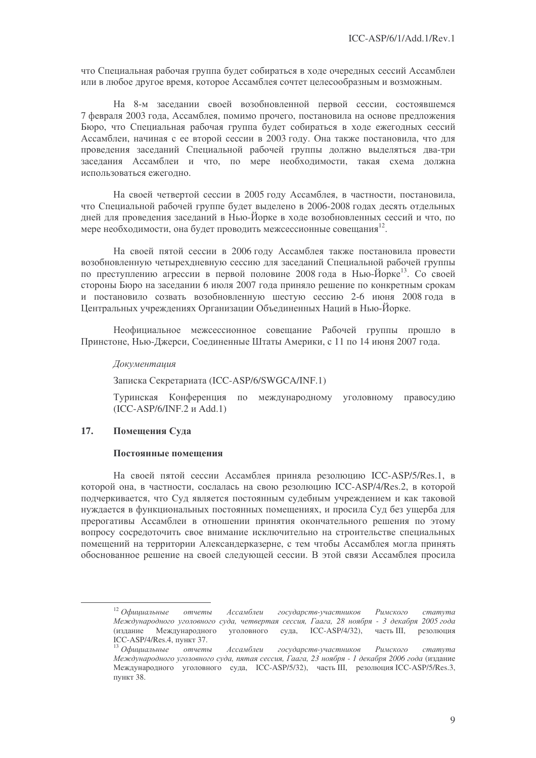что Специальная рабочая группа будет собираться в ходе очередных сессий Ассамблеи или в любое другое время, которое Ассамблея сочтет целесообразным и возможным.

На 8-м заселании своей возобновленной первой сессии, состоявшемся 7 февраля 2003 года, Ассамблея, помимо прочего, постановила на основе предложения Бюро, что Специальная рабочая группа будет собираться в ходе ежегодных сессий Ассамблеи, начиная с ее второй сессии в 2003 году. Она также постановила, что для проведения заседаний Специальной рабочей группы должно выделяться два-три заседания Ассамблеи и что, по мере необходимости, такая схема должна использоваться ежегодно.

На своей четвертой сессии в 2005 году Ассамблея, в частности, постановила, что Специальной рабочей группе будет выделено в 2006-2008 годах десять отдельных дней для проведения заседаний в Нью-Йорке в ходе возобновленных сессий и что, по мере необходимости, она будет проводить межсессионные совещания<sup>12</sup>.

На своей пятой сессии в 2006 году Ассамблея также постановила провести возобновленную четырехдневную сессию для заседаний Специальной рабочей группы по преступлению агрессии в первой половине 2008 года в Нью-Йорке<sup>13</sup>. Со своей стороны Бюро на заселании 6 июля 2007 года приняло решение по конкретным срокам и постановило созвать возобновленную шестую сессию 2-6 июня 2008 года в Пентральных учреждениях Организации Объединенных Наций в Нью-Йорке.

Неофициальное межсессионное совещание Рабочей группы прошло в Принстоне, Нью-Джерси, Соединенные Штаты Америки, с 11 по 14 июня 2007 года.

### Документация

Записка Секретариата (ICC-ASP/6/SWGCA/INF.1)

Туринская Конференция по международному уголовному правосудию  $(ICC-ASP/6/INF.2 \text{ и Add.1})$ 

#### $17<sub>1</sub>$ Помешения Суда

### Постоянные помешения

На своей пятой сессии Ассамблея приняла резолюцию ICC-ASP/5/Res.1, в которой она, в частности, сослалась на свою резолюцию ICC-ASP/4/Res.2, в которой подчеркивается, что Суд является постоянным судебным учреждением и как таковой нуждается в функциональных постоянных помещениях, и просила Суд без ущерба для прерогативы Ассамблеи в отношении принятия окончательного решения по этому вопросу сосредоточить свое внимание исключительно на строительстве специальных помещений на территории Александерказерне, с тем чтобы Ассамблея могла принять обоснованное решение на своей следующей сессии. В этой связи Ассамблея просила

 $12$  Официальные Ассамблеи государств-участников отчеты Римского  $c$ mamvma Международного уголовного суда, четвертая сессия, Гаага, 28 ноября - 3 декабря 2005 года уголовного суда, ICC-ASP/4/32), (излание Международного часть III, резолюция ICC-ASP/4/Res.4, пункт 37.

 $13$  Официальные Ассамблеи государств-участников отчеты Римского cmamyma Международного уголовного суда, пятая сессия, Гаага, 23 ноября - 1 декабря 2006 года (издание Международного уголовного суда, ICC-ASP/5/32), часть III, резолюция ICC-ASP/5/Res.3, пункт 38.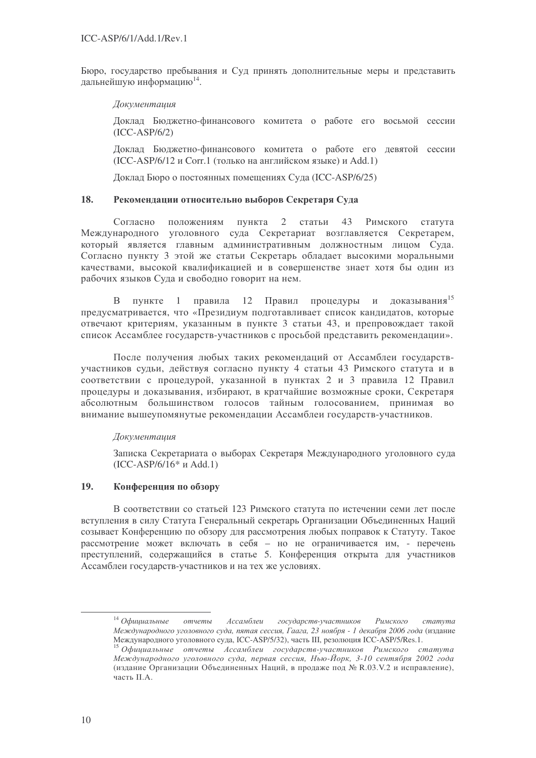Бюро, государство пребывания и Суд принять дополнительные меры и представить дальнейшую информацию<sup>14</sup>.

Документашия

Доклад Бюджетно-финансового комитета о работе его восьмой сессии  $(ICC-ASP/6/2)$ 

Доклад Бюджетно-финансового комитета о работе его девятой сессии (ICC-ASP/6/12 и Corr.1 (только на английском языке) и Add.1)

Доклад Бюро о постоянных помещениях Суда (ICC-ASP/6/25)

#### 18. Рекомендации относительно выборов Секретаря Суда

Согласно положениям пункта  $\overline{2}$ статьи 43 Римского статута Международного уголовного суда Секретариат возглавляется Секретарем, который является главным административным должностным лицом Суда. Согласно пункту 3 этой же статьи Секретарь обладает высокими моральными качествами, высокой квалификацией и в совершенстве знает хотя бы один из рабочих языков Суда и свободно говорит на нем.

правила 12 Правил процедуры и доказывания<sup>15</sup>  $\mathbf{B}$ пункте  $1$ предусматривается, что «Президиум подготавливает список кандидатов, которые отвечают критериям, указанным в пункте 3 статьи 43, и препровожлает такой список Ассамблее государств-участников с просьбой представить рекомендации».

После получения любых таких рекомендаций от Ассамблеи государствучастников судьи, действуя согласно пункту 4 статьи 43 Римского статута и в соответствии с процедурой, указанной в пунктах 2 и 3 правила 12 Правил процедуры и доказывания, избирают, в кратчайшие возможные сроки, Секретаря абсолютным большинством голосов тайным голосованием, принимая во внимание вышеупомянутые рекомендации Ассамблеи государств-участников.

## Документация

Записка Секретариата о выборах Секретаря Международного уголовного суда  $(ICC-ASP/6/16*$  *H* Add.1)

#### 19. Конференция по обзору

В соответствии со статьей 123 Римского статута по истечении семи лет после вступления в силу Статута Генеральный секретарь Организации Объединенных Наций созывает Конференцию по обзору для рассмотрения любых поправок к Статуту. Такое рассмотрение может включать в себя - но не ограничивается им. - перечень преступлений, содержащийся в статье 5. Конференция открыта для участников Ассамблеи государств-участников и на тех же условиях.

 $14$  Официальные отчеты Ассамблеи государств-участников Римского cmamvma Международного уголовного суда, пятая сессия, Гаага, 23 ноября - 1 декабря 2006 года (издание Международного уголовного суда, ICC-ASP/5/32), часть III, резолюция ICC-ASP/5/Res.1.

<sup>15</sup> Официальные отчеты Ассамблеи государств-участников Римского статута Международного уголовного суда, первая сессия, Нью-Йорк, 3-10 сентября 2002 года (излание Организации Объединенных Наций, в продаже под № R.03.V.2 и исправление). часть II.A.